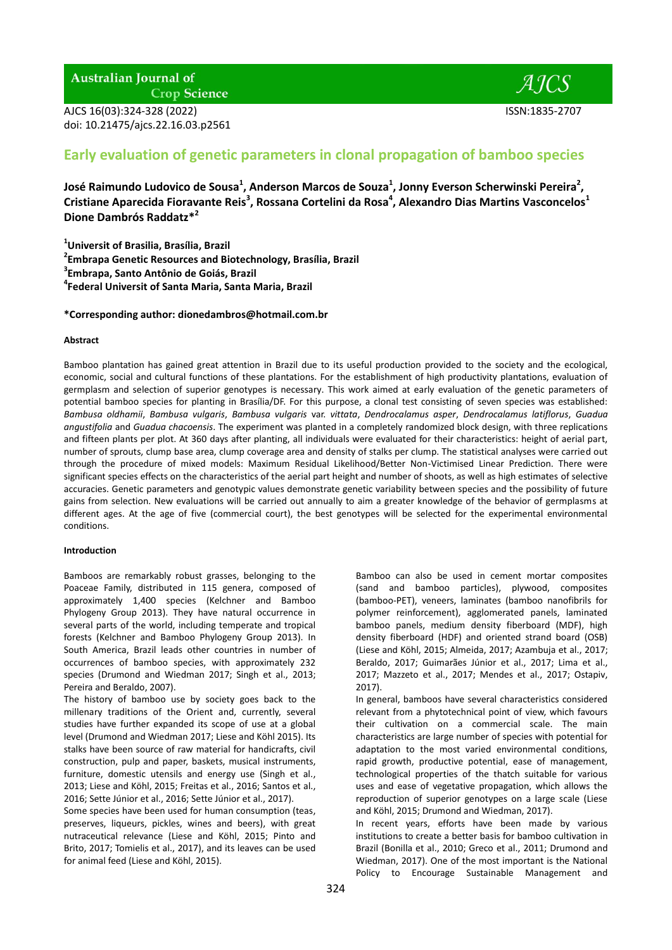**Australian Journal of** 

**Crop Science** 

AJCS 16(03):324-328 (2022) ISSN:1835-2707 doi: 10.21475/ajcs.22.16.03.p2561

# **Early evaluation of genetic parameters in clonal propagation of bamboo species**

**José Raimundo Ludovico de Sousa<sup>1</sup> , Anderson Marcos de Souza<sup>1</sup> , Jonny Everson Scherwinski Pereira<sup>2</sup> , Cristiane Aparecida Fioravante Reis<sup>3</sup> , Rossana Cortelini da Rosa<sup>4</sup> , Alexandro Dias Martins Vasconcelos<sup>1</sup> Dione Dambrós Raddatz\*<sup>2</sup>**

 **Universit of Brasilia, Brasília, Brazil Embrapa Genetic Resources and Biotechnology, Brasília, Brazil Embrapa, Santo Antônio de Goiás, Brazil Federal Universit of Santa Maria, Santa Maria, Brazil**

**\*Corresponding author: dionedambros@hotmail.com.br**

## **Abstract**

Bamboo plantation has gained great attention in Brazil due to its useful production provided to the society and the ecological, economic, social and cultural functions of these plantations. For the establishment of high productivity plantations, evaluation of germplasm and selection of superior genotypes is necessary. This work aimed at early evaluation of the genetic parameters of potential bamboo species for planting in Brasília/DF. For this purpose, a clonal test consisting of seven species was established: *Bambusa oldhamii*, *Bambusa vulgaris*, *Bambusa vulgaris* var. *vittata*, *Dendrocalamus asper*, *Dendrocalamus latiflorus*, *Guadua angustifolia* and *Guadua chacoensis*. The experiment was planted in a completely randomized block design, with three replications and fifteen plants per plot. At 360 days after planting, all individuals were evaluated for their characteristics: height of aerial part, number of sprouts, clump base area, clump coverage area and density of stalks per clump. The statistical analyses were carried out through the procedure of mixed models: Maximum Residual Likelihood/Better Non-Victimised Linear Prediction. There were significant species effects on the characteristics of the aerial part height and number of shoots, as well as high estimates of selective accuracies. Genetic parameters and genotypic values demonstrate genetic variability between species and the possibility of future gains from selection. New evaluations will be carried out annually to aim a greater knowledge of the behavior of germplasms at different ages. At the age of five (commercial court), the best genotypes will be selected for the experimental environmental conditions.

#### **Introduction**

Bamboos are remarkably robust grasses, belonging to the Poaceae Family, distributed in 115 genera, composed of approximately 1,400 species (Kelchner and Bamboo Phylogeny Group 2013). They have natural occurrence in several parts of the world, including temperate and tropical forests (Kelchner and Bamboo Phylogeny Group 2013). In South America, Brazil leads other countries in number of occurrences of bamboo species, with approximately 232 species (Drumond and Wiedman 2017; Singh et al., 2013; Pereira and Beraldo, 2007).

The history of bamboo use by society goes back to the millenary traditions of the Orient and, currently, several studies have further expanded its scope of use at a global level (Drumond and Wiedman 2017; Liese and Köhl 2015). Its stalks have been source of raw material for handicrafts, civil construction, pulp and paper, baskets, musical instruments, furniture, domestic utensils and energy use (Singh et al., 2013; Liese and Köhl, 2015; Freitas et al., 2016; Santos et al., 2016; Sette Júnior et al., 2016; Sette Júnior et al., 2017).

Some species have been used for human consumption (teas, preserves, liqueurs, pickles, wines and beers), with great nutraceutical relevance (Liese and Köhl, 2015; Pinto and Brito, 2017; Tomielis et al., 2017), and its leaves can be used for animal feed (Liese and Köhl, 2015).

Bamboo can also be used in cement mortar composites (sand and bamboo particles), plywood, composites (bamboo-PET), veneers, laminates (bamboo nanofibrils for polymer reinforcement), agglomerated panels, laminated bamboo panels, medium density fiberboard (MDF), high density fiberboard (HDF) and oriented strand board (OSB) (Liese and Köhl, 2015; Almeida, 2017; Azambuja et al., 2017; Beraldo, 2017; Guimarães Júnior et al., 2017; Lima et al., 2017; Mazzeto et al., 2017; Mendes et al., 2017; Ostapiv, 2017).

In general, bamboos have several characteristics considered relevant from a phytotechnical point of view, which favours their cultivation on a commercial scale. The main characteristics are large number of species with potential for adaptation to the most varied environmental conditions, rapid growth, productive potential, ease of management, technological properties of the thatch suitable for various uses and ease of vegetative propagation, which allows the reproduction of superior genotypes on a large scale (Liese and Köhl, 2015; Drumond and Wiedman, 2017).

In recent years, efforts have been made by various institutions to create a better basis for bamboo cultivation in Brazil (Bonilla et al., 2010; Greco et al., 2011; Drumond and Wiedman, 2017). One of the most important is the National Policy to Encourage Sustainable Management and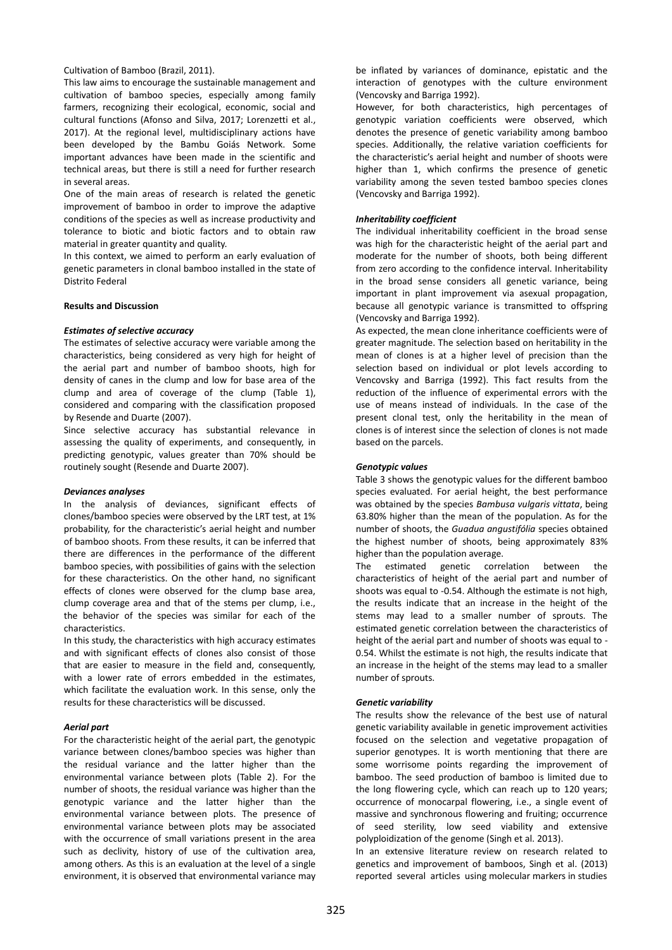## Cultivation of Bamboo (Brazil, 2011).

This law aims to encourage the sustainable management and cultivation of bamboo species, especially among family farmers, recognizing their ecological, economic, social and cultural functions (Afonso and Silva, 2017; Lorenzetti et al., 2017). At the regional level, multidisciplinary actions have been developed by the Bambu Goiás Network. Some important advances have been made in the scientific and technical areas, but there is still a need for further research in several areas.

One of the main areas of research is related the genetic improvement of bamboo in order to improve the adaptive conditions of the species as well as increase productivity and tolerance to biotic and biotic factors and to obtain raw material in greater quantity and quality.

In this context, we aimed to perform an early evaluation of genetic parameters in clonal bamboo installed in the state of Distrito Federal

## **Results and Discussion**

#### *Estimates of selective accuracy*

The estimates of selective accuracy were variable among the characteristics, being considered as very high for height of the aerial part and number of bamboo shoots, high for density of canes in the clump and low for base area of the clump and area of coverage of the clump (Table 1), considered and comparing with the classification proposed by Resende and Duarte (2007).

Since selective accuracy has substantial relevance in assessing the quality of experiments, and consequently, in predicting genotypic, values greater than 70% should be routinely sought (Resende and Duarte 2007).

#### *Deviances analyses*

In the analysis of deviances, significant effects of clones/bamboo species were observed by the LRT test, at 1% probability, for the characteristic's aerial height and number of bamboo shoots. From these results, it can be inferred that there are differences in the performance of the different bamboo species, with possibilities of gains with the selection for these characteristics. On the other hand, no significant effects of clones were observed for the clump base area, clump coverage area and that of the stems per clump, i.e., the behavior of the species was similar for each of the characteristics.

In this study, the characteristics with high accuracy estimates and with significant effects of clones also consist of those that are easier to measure in the field and, consequently, with a lower rate of errors embedded in the estimates, which facilitate the evaluation work. In this sense, only the results for these characteristics will be discussed.

## *Aerial part*

For the characteristic height of the aerial part, the genotypic variance between clones/bamboo species was higher than the residual variance and the latter higher than the environmental variance between plots (Table 2). For the number of shoots, the residual variance was higher than the genotypic variance and the latter higher than the environmental variance between plots. The presence of environmental variance between plots may be associated with the occurrence of small variations present in the area such as declivity, history of use of the cultivation area, among others. As this is an evaluation at the level of a single environment, it is observed that environmental variance may

be inflated by variances of dominance, epistatic and the interaction of genotypes with the culture environment (Vencovsky and Barriga 1992).

However, for both characteristics, high percentages of genotypic variation coefficients were observed, which denotes the presence of genetic variability among bamboo species. Additionally, the relative variation coefficients for the characteristic's aerial height and number of shoots were higher than 1, which confirms the presence of genetic variability among the seven tested bamboo species clones (Vencovsky and Barriga 1992).

## *Inheritability coefficient*

The individual inheritability coefficient in the broad sense was high for the characteristic height of the aerial part and moderate for the number of shoots, both being different from zero according to the confidence interval. Inheritability in the broad sense considers all genetic variance, being important in plant improvement via asexual propagation, because all genotypic variance is transmitted to offspring (Vencovsky and Barriga 1992).

As expected, the mean clone inheritance coefficients were of greater magnitude. The selection based on heritability in the mean of clones is at a higher level of precision than the selection based on individual or plot levels according to Vencovsky and Barriga (1992). This fact results from the reduction of the influence of experimental errors with the use of means instead of individuals. In the case of the present clonal test, only the heritability in the mean of clones is of interest since the selection of clones is not made based on the parcels.

## *Genotypic values*

Table 3 shows the genotypic values for the different bamboo species evaluated. For aerial height, the best performance was obtained by the species *Bambusa vulgaris vittata*, being 63.80% higher than the mean of the population. As for the number of shoots, the *Guadua angustifólia* species obtained the highest number of shoots, being approximately 83% higher than the population average.

The estimated genetic correlation between the characteristics of height of the aerial part and number of shoots was equal to -0.54. Although the estimate is not high, the results indicate that an increase in the height of the stems may lead to a smaller number of sprouts. The estimated genetic correlation between the characteristics of height of the aerial part and number of shoots was equal to - 0.54. Whilst the estimate is not high, the results indicate that an increase in the height of the stems may lead to a smaller number of sprouts.

#### *Genetic variability*

The results show the relevance of the best use of natural genetic variability available in genetic improvement activities focused on the selection and vegetative propagation of superior genotypes. It is worth mentioning that there are some worrisome points regarding the improvement of bamboo. The seed production of bamboo is limited due to the long flowering cycle, which can reach up to 120 years; occurrence of monocarpal flowering, i.e., a single event of massive and synchronous flowering and fruiting; occurrence of seed sterility, low seed viability and extensive polyploidization of the genome (Singh et al. 2013).

In an extensive literature review on research related to genetics and improvement of bamboos, Singh et al. (2013) reported several articles using molecular markers in studies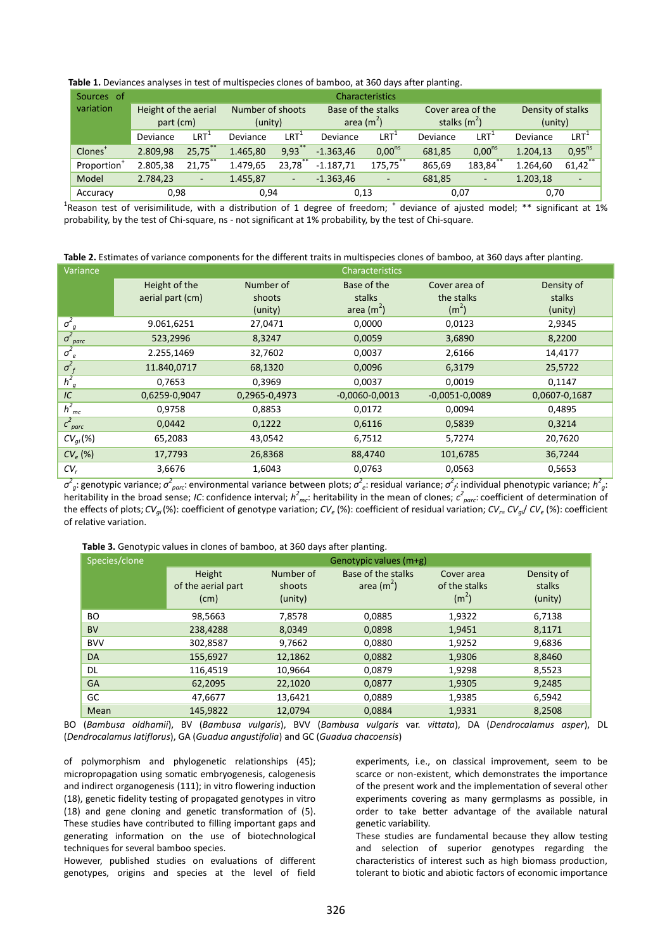| Table 1. Deviances analyses in test of multispecies clones of bamboo, at 360 days after planting. |  |  |
|---------------------------------------------------------------------------------------------------|--|--|
|---------------------------------------------------------------------------------------------------|--|--|

| Sources of              | Characteristics                   |                      |                             |                          |                                   |                                               |                                     |                          |                              |                          |
|-------------------------|-----------------------------------|----------------------|-----------------------------|--------------------------|-----------------------------------|-----------------------------------------------|-------------------------------------|--------------------------|------------------------------|--------------------------|
| variation               | Height of the aerial<br>part (cm) |                      | Number of shoots<br>(unity) |                          | Base of the stalks<br>area $(m2)$ |                                               | Cover area of the<br>stalks $(m^2)$ |                          | Density of stalks<br>(unity) |                          |
|                         | Deviance                          | $\mathsf{LRT}^\star$ | Deviance                    | LRT'                     | Deviance                          | $\mathsf{LRT}^{\scriptscriptstyle\mathsf{t}}$ | Deviance                            | LRT <sup>.</sup>         | Deviance                     | $LRT^+$                  |
| Clones <sup>+</sup>     | 2.809.98                          | 25.75                | 1.465.80                    | $9,93$ **                | $-1.363.46$                       | $0,00^{ns}$                                   | 681,85                              | $0,00^{ns}$              | 1.204,13                     | $0.95^{ns}$              |
| Proportion <sup>+</sup> | 2.805,38                          | 21,75                | 1.479,65                    | 23.78                    | $-1.187.71$                       | **<br>175,75                                  | 865,69                              | **<br>183,84             | 1.264.60                     | $**$<br>61,42            |
| Model                   | 2.784,23                          | ٠                    | 1.455,87                    | $\overline{\phantom{a}}$ | $-1.363,46$                       | $\overline{\phantom{a}}$                      | 681,85                              | $\overline{\phantom{a}}$ | 1.203,18                     | $\overline{\phantom{a}}$ |
| Accuracy                | 0,98                              |                      | 0,94                        |                          | 0,13                              |                                               | 0,07                                |                          | 0,70                         |                          |

<sup>1</sup>Reason test of verisimilitude, with a distribution of 1 degree of freedom;  $^+$  deviance of ajusted model; \*\* significant at 1% probability, by the test of Chi-square, ns - not significant at 1% probability, by the test of Chi-square.

**Table 2.** Estimates of variance components for the different traits in multispecies clones of bamboo, at 360 days after planting.

| Variance                 |                  |               | <b>Characteristics</b> |                    |               |
|--------------------------|------------------|---------------|------------------------|--------------------|---------------|
|                          | Height of the    | Number of     | Base of the            | Cover area of      | Density of    |
|                          | aerial part (cm) | shoots        | stalks                 | the stalks         | stalks        |
|                          |                  | (unity)       | area $(m^2)$           | (m <sup>2</sup> )  | (unity)       |
| $\sigma_g^2$             | 9.061,6251       | 27,0471       | 0,0000                 | 0,0123             | 2,9345        |
| $\sigma_{\text{parc}}^2$ | 523,2996         | 8,3247        | 0,0059                 | 3,6890             | 8,2200        |
| $\sigma_e^2$             | 2.255,1469       | 32,7602       | 0,0037                 | 2,6166             | 14,4177       |
| $\sigma_f^2$             | 11.840,0717      | 68,1320       | 0,0096                 | 6,3179             | 25,5722       |
| $h^2_{q}$                | 0,7653           | 0,3969        | 0,0037                 | 0,0019             | 0,1147        |
| IC                       | 0,6259-0,9047    | 0,2965-0,4973 | $-0,0060-0,0013$       | $-0.0051 - 0.0089$ | 0,0607-0,1687 |
| $h_{mc}^2$               | 0,9758           | 0,8853        | 0,0172                 | 0,0094             | 0,4895        |
| $c^2_{\text{parc}}$      | 0,0442           | 0,1222        | 0,6116                 | 0,5839             | 0,3214        |
| $CV_{qi}(\%)$            | 65,2083          | 43,0542       | 6,7512                 | 5,7274             | 20,7620       |
| $CV_e$ (%)               | 17,7793          | 26,8368       | 88,4740                | 101,6785           | 36,7244       |
| $CV_r$                   | 3,6676           | 1,6043        | 0,0763                 | 0,0563             | 0,5653        |
|                          |                  |               |                        |                    |               |

 $\sigma_g^2$ : genotypic variance;  $\sigma_{\textit{parc}}^2$ : environmental variance between plots;  $\sigma_e^2$ : residual variance;  $\sigma_f^2$ : individual phenotypic variance;  $h_{g}^2$ : heritability in the broad sense; *IC*: confidence interval;  $h^2_{mc}$ : heritability in the mean of clones;  $c^2_{parc}$ : coefficient of determination of the effects of plots; *CVgi* (%): coefficient of genotype variation; *CV<sup>e</sup>* (%): coefficient of residual variation; *CVr= CVgi*/ *CV<sup>e</sup>* (%): coefficient of relative variation.

 **Table 3.** Genotypic values in clones of bamboo, at 360 days after planting.

| Species/clone | Genotypic values (m+g)               |                                |                                    |                                                  |                                 |  |  |
|---------------|--------------------------------------|--------------------------------|------------------------------------|--------------------------------------------------|---------------------------------|--|--|
|               | Height<br>of the aerial part<br>(cm) | Number of<br>shoots<br>(unity) | Base of the stalks<br>area $(m^2)$ | Cover area<br>of the stalks<br>(m <sup>2</sup> ) | Density of<br>stalks<br>(unity) |  |  |
| <b>BO</b>     | 98,5663                              | 7,8578                         | 0,0885                             | 1,9322                                           | 6,7138                          |  |  |
| <b>BV</b>     | 238,4288                             | 8,0349                         | 0,0898                             | 1,9451                                           | 8,1171                          |  |  |
| <b>BVV</b>    | 302,8587                             | 9,7662                         | 0,0880                             | 1,9252                                           | 9,6836                          |  |  |
| <b>DA</b>     | 155,6927                             | 12,1862                        | 0,0882                             | 1,9306                                           | 8,8460                          |  |  |
| DL            | 116,4519                             | 10,9664                        | 0,0879                             | 1,9298                                           | 8,5523                          |  |  |
| <b>GA</b>     | 62,2095                              | 22,1020                        | 0,0877                             | 1,9305                                           | 9,2485                          |  |  |
| GC            | 47,6677                              | 13,6421                        | 0,0889                             | 1,9385                                           | 6,5942                          |  |  |
| Mean          | 145,9822                             | 12.0794                        | 0,0884                             | 1,9331                                           | 8,2508                          |  |  |

BO (*Bambusa oldhamii*), BV (*Bambusa vulgaris*), BVV (*Bambusa vulgaris* var. *vittata*), DA (*Dendrocalamus asper*), DL (*Dendrocalamus latiflorus*), GA (*Guadua angustifolia*) and GC (*Guadua chacoensis*)

of polymorphism and phylogenetic relationships (45); micropropagation using somatic embryogenesis, calogenesis and indirect organogenesis (111); in vitro flowering induction (18), genetic fidelity testing of propagated genotypes in vitro (18) and gene cloning and genetic transformation of (5). These studies have contributed to filling important gaps and generating information on the use of biotechnological techniques for several bamboo species.

However, published studies on evaluations of different genotypes, origins and species at the level of field

experiments, i.e., on classical improvement, seem to be scarce or non-existent, which demonstrates the importance of the present work and the implementation of several other experiments covering as many germplasms as possible, in order to take better advantage of the available natural genetic variability.

These studies are fundamental because they allow testing and selection of superior genotypes regarding the characteristics of interest such as high biomass production, tolerant to biotic and abiotic factors of economic importance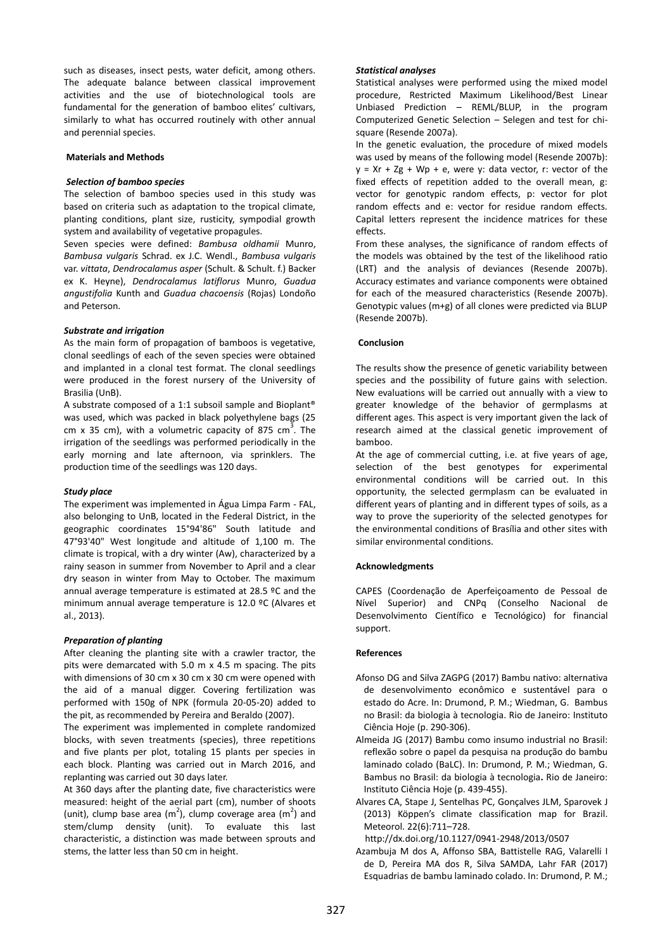such as diseases, insect pests, water deficit, among others. The adequate balance between classical improvement activities and the use of biotechnological tools are fundamental for the generation of bamboo elites' cultivars, similarly to what has occurred routinely with other annual and perennial species.

## **Materials and Methods**

## *Selection of bamboo species*

The selection of bamboo species used in this study was based on criteria such as adaptation to the tropical climate, planting conditions, plant size, rusticity, sympodial growth system and availability of vegetative propagules.

Seven species were defined: *Bambusa oldhamii* Munro, *Bambusa vulgaris* Schrad. ex J.C. Wendl., *Bambusa vulgaris* var. *vittata*, *Dendrocalamus asper* (Schult. & Schult. f.) Backer ex K. Heyne), *Dendrocalamus latiflorus* Munro, *Guadua angustifolia* Kunth and *Guadua chacoensis* (Rojas) Londoño and Peterson.

## *Substrate and irrigation*

As the main form of propagation of bamboos is vegetative, clonal seedlings of each of the seven species were obtained and implanted in a clonal test format. The clonal seedlings were produced in the forest nursery of the University of Brasilia (UnB).

A substrate composed of a 1:1 subsoil sample and Bioplant® was used, which was packed in black polyethylene bags (25 cm x 35 cm), with a volumetric capacity of 875 cm<sup>3</sup>. The irrigation of the seedlings was performed periodically in the early morning and late afternoon, via sprinklers. The production time of the seedlings was 120 days.

## *Study place*

The experiment was implemented in Água Limpa Farm - FAL, also belonging to UnB, located in the Federal District, in the geographic coordinates 15°94'86" South latitude and 47°93'40" West longitude and altitude of 1,100 m. The climate is tropical, with a dry winter (Aw), characterized by a rainy season in summer from November to April and a clear dry season in winter from May to October. The maximum annual average temperature is estimated at 28.5 ºC and the minimum annual average temperature is 12.0 ºC (Alvares et al., 2013).

## *Preparation of planting*

After cleaning the planting site with a crawler tractor, the pits were demarcated with 5.0 m x 4.5 m spacing. The pits with dimensions of 30 cm x 30 cm x 30 cm were opened with the aid of a manual digger. Covering fertilization was performed with 150g of NPK (formula 20-05-20) added to the pit, as recommended by Pereira and Beraldo (2007).

The experiment was implemented in complete randomized blocks, with seven treatments (species), three repetitions and five plants per plot, totaling 15 plants per species in each block. Planting was carried out in March 2016, and replanting was carried out 30 days later.

At 360 days after the planting date, five characteristics were measured: height of the aerial part (cm), number of shoots (unit), clump base area (m<sup>2</sup>), clump coverage area (m<sup>2</sup>) and stem/clump density (unit). To evaluate this last characteristic, a distinction was made between sprouts and stems, the latter less than 50 cm in height.

#### *Statistical analyses*

Statistical analyses were performed using the mixed model procedure, Restricted Maximum Likelihood/Best Linear Unbiased Prediction – REML/BLUP, in the program Computerized Genetic Selection – Selegen and test for chisquare (Resende 2007a).

In the genetic evaluation, the procedure of mixed models was used by means of the following model (Resende 2007b):  $y = xr + Zg + Wp + e$ , were y: data vector, r: vector of the fixed effects of repetition added to the overall mean, g: vector for genotypic random effects, p: vector for plot random effects and e: vector for residue random effects. Capital letters represent the incidence matrices for these effects.

From these analyses, the significance of random effects of the models was obtained by the test of the likelihood ratio (LRT) and the analysis of deviances (Resende 2007b). Accuracy estimates and variance components were obtained for each of the measured characteristics (Resende 2007b). Genotypic values (m+g) of all clones were predicted via BLUP (Resende 2007b).

## **Conclusion**

The results show the presence of genetic variability between species and the possibility of future gains with selection. New evaluations will be carried out annually with a view to greater knowledge of the behavior of germplasms at different ages. This aspect is very important given the lack of research aimed at the classical genetic improvement of bamboo.

At the age of commercial cutting, i.e. at five years of age, selection of the best genotypes for experimental environmental conditions will be carried out. In this opportunity, the selected germplasm can be evaluated in different years of planting and in different types of soils, as a way to prove the superiority of the selected genotypes for the environmental conditions of Brasília and other sites with similar environmental conditions.

#### **Acknowledgments**

CAPES (Coordenação de Aperfeiçoamento de Pessoal de Nível Superior) and CNPq (Conselho Nacional de Desenvolvimento Científico e Tecnológico) for financial support.

#### **References**

- Afonso DG and Silva ZAGPG (2017) Bambu nativo: alternativa de desenvolvimento econômico e sustentável para o estado do Acre. In: Drumond, P. M.; Wiedman, G. Bambus no Brasil: da biologia à tecnologia. Rio de Janeiro: Instituto Ciência Hoje (p. 290-306).
- Almeida JG (2017) Bambu como insumo industrial no Brasil: reflexão sobre o papel da pesquisa na produção do bambu laminado colado (BaLC). In: Drumond, P. M.; Wiedman, G. Bambus no Brasil: da biologia à tecnologia**.** Rio de Janeiro: Instituto Ciência Hoje (p. 439-455).
- Alvares CA, Stape J, Sentelhas PC, Gonçalves JLM, Sparovek J (2013) Köppen's climate classification map for Brazil. Meteorol. 22(6):711–728.

http://dx.doi.org/10.1127/0941-2948/2013/0507

Azambuja M dos A, Affonso SBA, Battistelle RAG, Valarelli I de D, Pereira MA dos R, Silva SAMDA, Lahr FAR (2017) Esquadrias de bambu laminado colado. In: Drumond, P. M.;